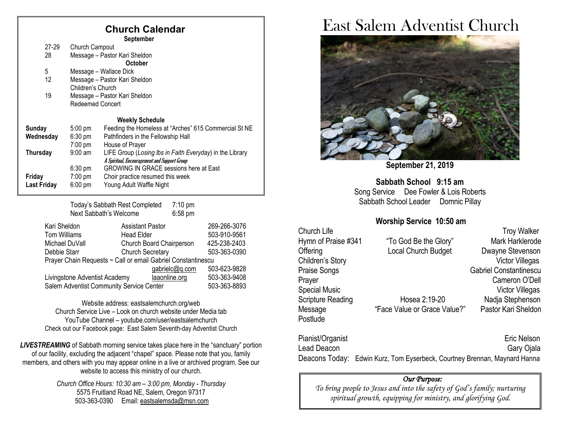## **Church Calendar**

 **September**

| 27-29                               | Church Campout                |                                                          |  |  |
|-------------------------------------|-------------------------------|----------------------------------------------------------|--|--|
| 28                                  | Message - Pastor Kari Sheldon |                                                          |  |  |
|                                     |                               | <b>October</b>                                           |  |  |
| 5                                   | Message - Wallace Dick        |                                                          |  |  |
| 12                                  | Message - Pastor Kari Sheldon |                                                          |  |  |
|                                     | Children's Church             |                                                          |  |  |
| 19<br>Message - Pastor Kari Sheldon |                               |                                                          |  |  |
| Redeemed Concert                    |                               |                                                          |  |  |
|                                     |                               | <b>Weekly Schedule</b>                                   |  |  |
| Sunday                              | $5:00$ pm                     | Feeding the Homeless at "Arches" 615 Commercial St NE    |  |  |
| Wednesday                           | $6:30 \text{ pm}$             | Pathfinders in the Fellowship Hall                       |  |  |
|                                     | $7:00$ pm                     | House of Prayer                                          |  |  |
| Thursday                            | $9:00 \text{ am}$             | LIFE Group (Losing Ibs in Faith Everyday) in the Library |  |  |
|                                     |                               | A Spiritual, Encouragement and Support Group             |  |  |
|                                     | $6:30 \text{ pm}$             | <b>GROWING IN GRACE sessions here at East</b>            |  |  |
| Friday                              | $7:00 \text{ pm}$             | Choir practice resumed this week                         |  |  |
| <b>Last Friday</b>                  | $6:00$ pm                     | Young Adult Waffle Night                                 |  |  |
|                                     |                               |                                                          |  |  |

Today's Sabbath Rest Completed 7:10 pm Next Sabbath's Welcome 6:58 pm

| Kari Sheldon                                                 | <b>Assistant Pastor</b>  | 269-266-3076 |  |  |  |
|--------------------------------------------------------------|--------------------------|--------------|--|--|--|
| <b>Tom Williams</b>                                          | <b>Head Elder</b>        | 503-910-9561 |  |  |  |
| Michael DuVall                                               | Church Board Chairperson | 425-238-2403 |  |  |  |
| Debbie Starr                                                 | <b>Church Secretary</b>  | 503-363-0390 |  |  |  |
| Prayer Chain Requests ~ Call or email Gabriel Constantinescu |                          |              |  |  |  |
|                                                              | gabrielc@q.com           | 503-623-9828 |  |  |  |
| Livingstone Adventist Academy                                | laaonline.org            | 503-363-9408 |  |  |  |
| Salem Adventist Community Service Center                     |                          | 503-363-8893 |  |  |  |

Website address[: eastsalemchurch.org/w](http://eastsalem.adventists.info/)eb Church Service Live – Look on church website under Media tab YouTube Channel – youtube.com/user/eastsalemchurch Check out our Facebook page: East Salem Seventh-day Adventist Church

**LIVESTREAMING** of Sabbath morning service takes place here in the "sanctuary" portion of our facility, excluding the adjacent "chapel" space. Please note that you, family members, and others with you may appear online in a live or archived program. See our website to access this ministry of our church.

> *Church Office Hours: 10:30 am – 3:00 pm, Monday - Thursday* 5575 Fruitland Road NE, Salem, Oregon 97317 503-363-0390 Email: [eastsalemsda@msn.com](mailto:eastsalemsda@msn.com)

# East Salem Adventist Church



**September 21, 2019**

**Sabbath School 9:15 am** Song Service Dee Fowler & Lois Roberts Sabbath School Leader Domnic Pillay

#### **Worship Service 10:50 am**

Postlude

Hymn of Praise #341 "To God Be the Glory" Mark Harklerode Offering **Local Church Budget** Dwayne Stevenson Children's Story **Victor Villegas** Praise Songs Gabriel Constantinescu

Church Life Troy Walker Prayer **Cameron O'Dell** Special Music **Victor Villegas** Scripture Reading Thosea 2:19-20 Nadja Stephenson Message "Face Value or Grace Value?" Pastor Kari Sheldon

Pianist/Organist **Existence** Eric Nelson Lead Deacon Gary Ojala Deacons Today: Edwin Kurz, Tom Eyserbeck, Courtney Brennan, Maynard Hanna

#### *Our Purpose:*

*To bring people to Jesus and into the safety of God's family; nurturing spiritual growth, equipping for ministry, and glorifying God.*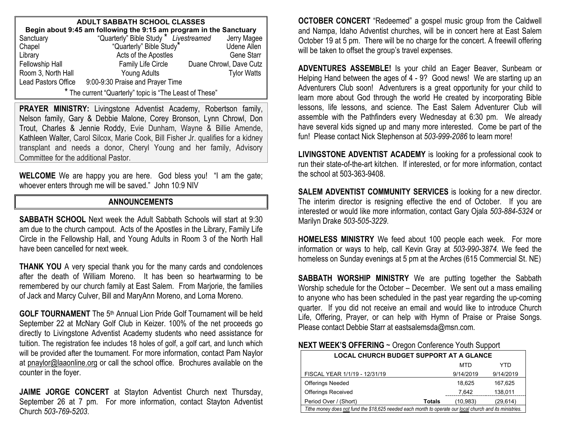| <b>ADULT SABBATH SCHOOL CLASSES</b>                                |                                                    |                         |  |  |  |  |  |
|--------------------------------------------------------------------|----------------------------------------------------|-------------------------|--|--|--|--|--|
| Begin about 9:45 am following the 9:15 am program in the Sanctuary |                                                    |                         |  |  |  |  |  |
| Sanctuary                                                          | "Quarterly" Bible Study * Livestreamed Jerry Magee |                         |  |  |  |  |  |
| Chapel                                                             | "Quarterly" Bible Study"                           | <b>Udene Allen</b>      |  |  |  |  |  |
| Library                                                            | Acts of the Apostles                               | <b>Gene Starr</b>       |  |  |  |  |  |
| Fellowship Hall                                                    | Family Life Circle                                 | Duane Chrowl, Dave Cutz |  |  |  |  |  |
| Room 3, North Hall                                                 | Young Adults                                       | <b>Tylor Watts</b>      |  |  |  |  |  |
| Lead Pastors Office                                                | 9:00-9:30 Praise and Prayer Time                   |                         |  |  |  |  |  |
| * The current "Quarterly" topic is "The Least of These"            |                                                    |                         |  |  |  |  |  |

PRAYER MINISTRY: Livingstone Adventist Academy, Robertson family, Nelson family, Gary & Debbie Malone, Corey Bronson, Lynn Chrowl, Don Trout, Charles & Jennie Roddy, Evie Dunham, Wayne & Billie Amende, Kathleen Walter, Carol Silcox, Marie Cook, Bill Fisher Jr. qualifies for a kidney transplant and needs a donor, Cheryl Young and her family, Advisory Committee for the additional Pastor.

**WELCOME** We are happy you are here. God bless you! "I am the gate; whoever enters through me will be saved." John 10:9 NIV

#### **ANNOUNCEMENTS**

**SABBATH SCHOOL** Next week the Adult Sabbath Schools will start at 9:30 am due to the church campout. Acts of the Apostles in the Library, Family Life Circle in the Fellowship Hall, and Young Adults in Room 3 of the North Hall have been cancelled for next week.

**THANK YOU** A very special thank you for the many cards and condolences after the death of William Moreno. It has been so heartwarming to be remembered by our church family at East Salem. From Marjorie, the families of Jack and Marcy Culver, Bill and MaryAnn Moreno, and Lorna Moreno.

**GOLF TOURNAMENT** The 5<sup>th</sup> Annual Lion Pride Golf Tournament will be held September 22 at McNary Golf Club in Keizer. 100% of the net proceeds go directly to Livingstone Adventist Academy students who need assistance for tuition. The registration fee includes 18 holes of golf, a golf cart, and lunch which will be provided after the tournament. For more information, contact Pam Naylor at [pnaylor@laaonline.org](mailto:pnaylor@laaonline.org) or call the school office. Brochures available on the counter in the foyer.

**JAIME JORGE CONCERT** at Stayton Adventist Church next Thursday, September 26 at 7 pm. For more information, contact Stayton Adventist Church *503-769-5203*.

**OCTOBER CONCERT** "Redeemed" a gospel music group from the Caldwell and Nampa, Idaho Adventist churches, will be in concert here at East Salem October 19 at 5 pm. There will be no charge for the concert. A freewill offering will be taken to offset the group's travel expenses.

**ADVENTURES ASSEMBLE!** Is your child an Eager Beaver, Sunbeam or Helping Hand between the ages of 4 - 9? Good news! We are starting up an Adventurers Club soon! Adventurers is a great opportunity for your child to learn more about God through the world He created by incorporating Bible lessons, life lessons, and science. The East Salem Adventurer Club will assemble with the Pathfinders every Wednesday at 6:30 pm. We already have several kids signed up and many more interested. Come be part of the fun! Please contact Nick Stephenson at *503-999-2086* to learn more!

**LIVINGSTONE ADVENTIST ACADEMY** is looking for a professional cook to run their state-of-the-art kitchen. If interested, or for more information, contact the school at 503-363-9408.

**SALEM ADVENTIST COMMUNITY SERVICES** is looking for a new director. The interim director is resigning effective the end of October. If you are interested or would like more information, contact Gary Ojala *503-884-5324* or Marilyn Drake *503-505-3229*.

**HOMELESS MINISTRY** We feed about 100 people each week. For more information or ways to help, call Kevin Gray at *503-990-3874*. We feed the homeless on Sunday evenings at 5 pm at the Arches (615 Commercial St. NE)

**SABBATH WORSHIP MINISTRY** We are putting together the Sabbath Worship schedule for the October – December. We sent out a mass emailing to anyone who has been scheduled in the past year regarding the up-coming quarter. If you did not receive an email and would like to introduce Church Life, Offering, Prayer, or can help with Hymn of Praise or Praise Songs. Please contact Debbie Starr at eastsalemsda@msn.com.

#### **NEXT WEEK'S OFFERING** ~ Oregon Conference Youth Support

| <b>LOCAL CHURCH BUDGET SUPPORT AT A GLANCE</b>                                                           |        |            |           |  |  |
|----------------------------------------------------------------------------------------------------------|--------|------------|-----------|--|--|
|                                                                                                          |        | <b>MTD</b> | YTD       |  |  |
| FISCAL YEAR 1/1/19 - 12/31/19                                                                            |        | 9/14/2019  | 9/14/2019 |  |  |
| <b>Offerings Needed</b>                                                                                  |        | 18.625     | 167,625   |  |  |
| <b>Offerings Received</b>                                                                                |        | 7.642      | 138,011   |  |  |
| Period Over / (Short)                                                                                    | Totals | (10.983)   | (29, 614) |  |  |
| Tithe money does not fund the \$18,625 needed each month to operate our local church and its ministries. |        |            |           |  |  |